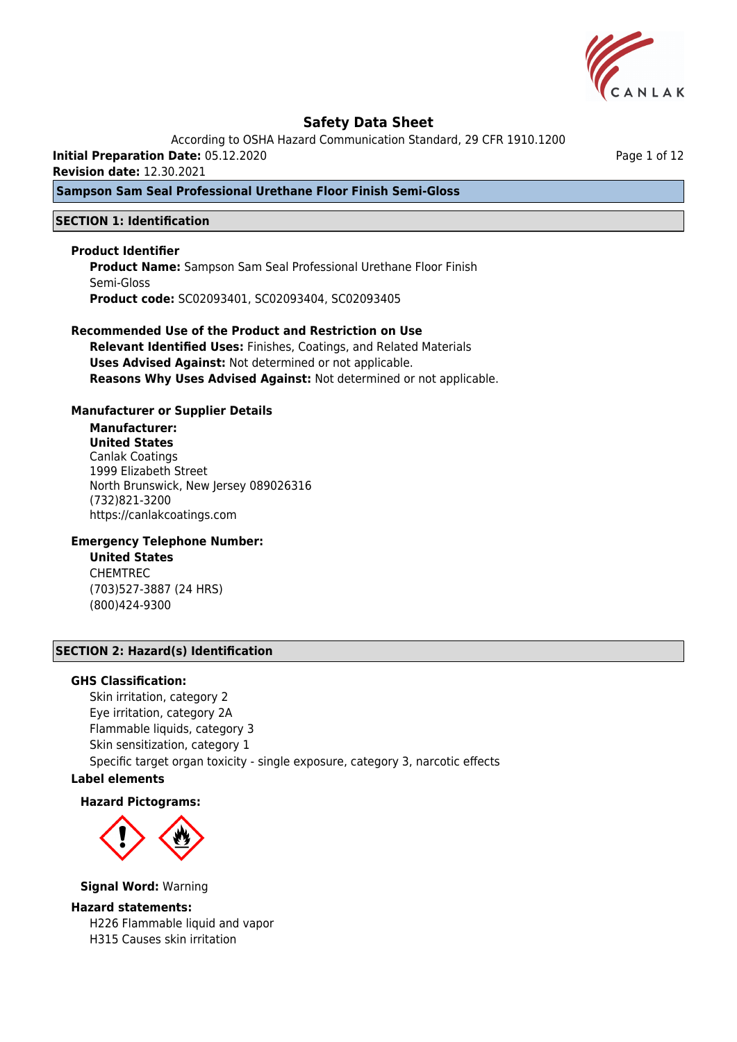

According to OSHA Hazard Communication Standard, 29 CFR 1910.1200

**Initial Preparation Date:** 05.12.2020

**Revision date:** 12.30.2021

## **Sampson Sam Seal Professional Urethane Floor Finish Semi-Gloss**

## **SECTION 1: Identification**

## **Product Identifier**

**Product Name:** Sampson Sam Seal Professional Urethane Floor Finish Semi-Gloss **Product code:** SC02093401, SC02093404, SC02093405

### **Recommended Use of the Product and Restriction on Use**

**Relevant Identified Uses:** Finishes, Coatings, and Related Materials **Uses Advised Against:** Not determined or not applicable. **Reasons Why Uses Advised Against:** Not determined or not applicable.

### **Manufacturer or Supplier Details**

## **Manufacturer:**

**United States** Canlak Coatings 1999 Elizabeth Street North Brunswick, New Jersey 089026316 (732)821-3200 https://canlakcoatings.com

## **Emergency Telephone Number:**

**United States** CHEMTREC (703)527-3887 (24 HRS) (800)424-9300

## **SECTION 2: Hazard(s) Identification**

#### **GHS Classification:**

Skin irritation, category 2 Eye irritation, category 2A Flammable liquids, category 3 Skin sensitization, category 1 Specific target organ toxicity - single exposure, category 3, narcotic effects

## **Label elements**

#### **Hazard Pictograms:**



**Signal Word:** Warning

#### **Hazard statements:**

H226 Flammable liquid and vapor H315 Causes skin irritation

Page 1 of 12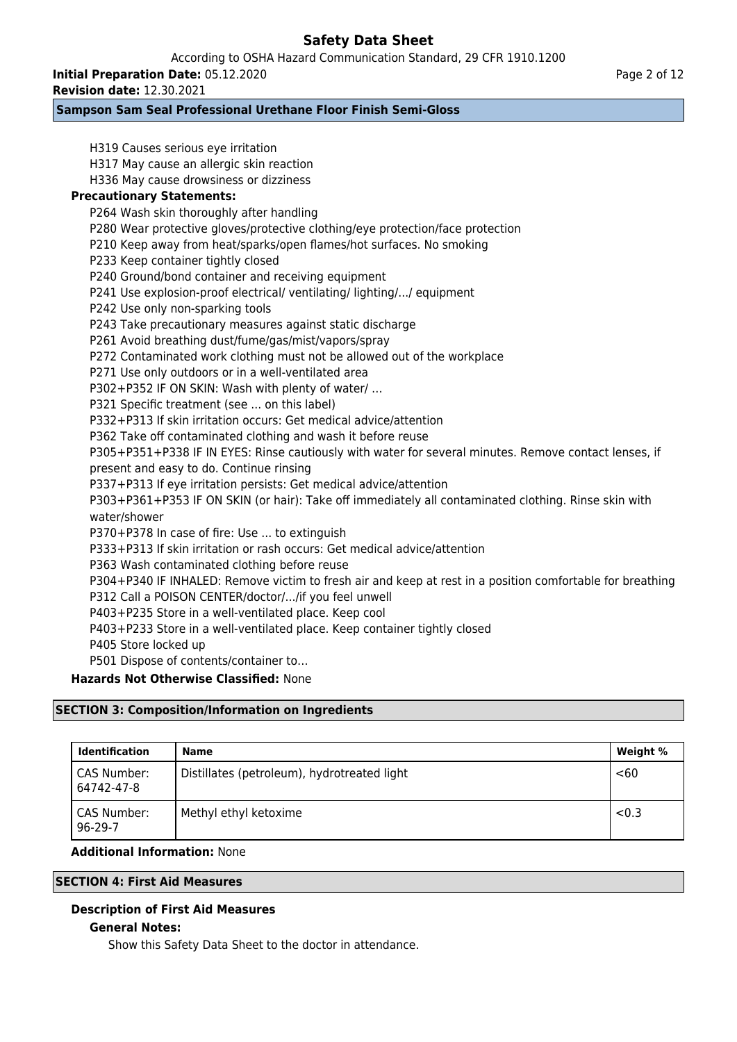According to OSHA Hazard Communication Standard, 29 CFR 1910.1200

**Initial Preparation Date:** 05.12.2020

**Revision date:** 12.30.2021

## **Sampson Sam Seal Professional Urethane Floor Finish Semi-Gloss**

H319 Causes serious eye irritation H317 May cause an allergic skin reaction H336 May cause drowsiness or dizziness **Precautionary Statements:** P264 Wash skin thoroughly after handling P280 Wear protective gloves/protective clothing/eye protection/face protection P210 Keep away from heat/sparks/open flames/hot surfaces. No smoking P233 Keep container tightly closed P240 Ground/bond container and receiving equipment P241 Use explosion-proof electrical/ ventilating/ lighting/.../ equipment P242 Use only non-sparking tools P243 Take precautionary measures against static discharge P261 Avoid breathing dust/fume/gas/mist/vapors/spray P272 Contaminated work clothing must not be allowed out of the workplace P271 Use only outdoors or in a well-ventilated area P302+P352 IF ON SKIN: Wash with plenty of water/ … P321 Specific treatment (see ... on this label) P332+P313 If skin irritation occurs: Get medical advice/attention P362 Take off contaminated clothing and wash it before reuse P305+P351+P338 IF IN EYES: Rinse cautiously with water for several minutes. Remove contact lenses, if present and easy to do. Continue rinsing P337+P313 If eye irritation persists: Get medical advice/attention P303+P361+P353 IF ON SKIN (or hair): Take off immediately all contaminated clothing. Rinse skin with water/shower P370+P378 In case of fire: Use ... to extinguish P333+P313 If skin irritation or rash occurs: Get medical advice/attention P363 Wash contaminated clothing before reuse P304+P340 IF INHALED: Remove victim to fresh air and keep at rest in a position comfortable for breathing P312 Call a POISON CENTER/doctor/.../if you feel unwell P403+P235 Store in a well-ventilated place. Keep cool P403+P233 Store in a well-ventilated place. Keep container tightly closed P405 Store locked up P501 Dispose of contents/container to… **Hazards Not Otherwise Classified:** None

## **SECTION 3: Composition/Information on Ingredients**

| <b>Identification</b>     | <b>Name</b>                                 | Weight % |
|---------------------------|---------------------------------------------|----------|
| CAS Number:<br>64742-47-8 | Distillates (petroleum), hydrotreated light | $60$     |
| CAS Number:<br>96-29-7    | Methyl ethyl ketoxime                       | < 0.3    |

## **Additional Information:** None

## **SECTION 4: First Aid Measures**

## **Description of First Aid Measures**

## **General Notes:**

Show this Safety Data Sheet to the doctor in attendance.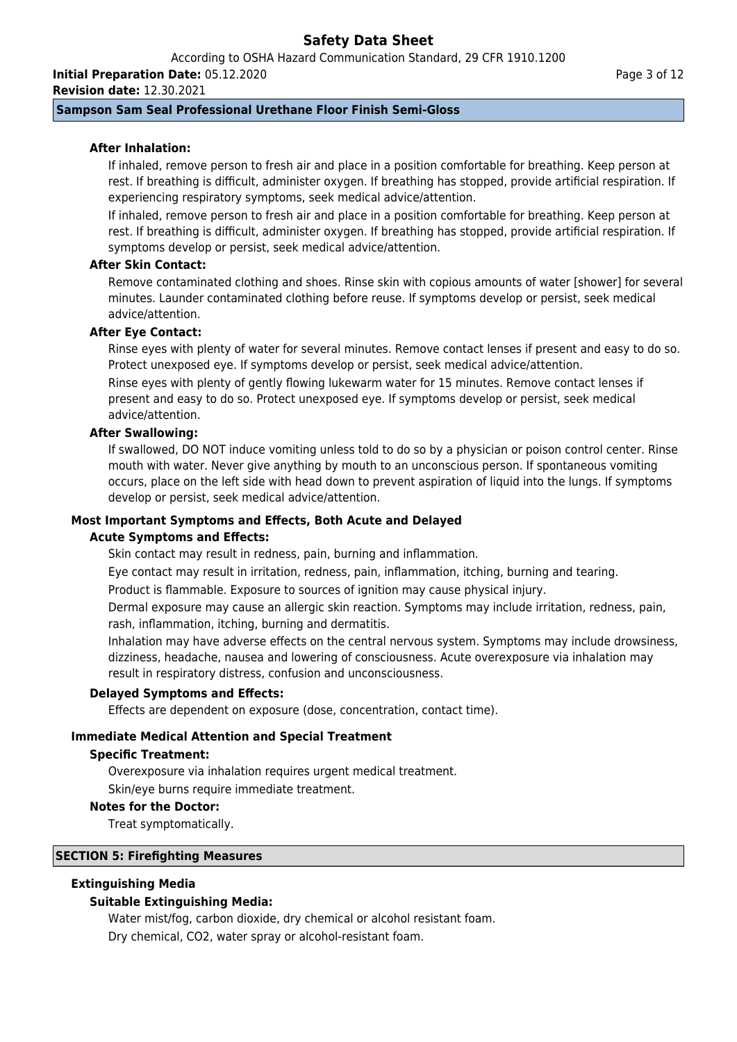According to OSHA Hazard Communication Standard, 29 CFR 1910.1200 **Initial Preparation Date:** 05.12.2020

**Revision date:** 12.30.2021

## **Sampson Sam Seal Professional Urethane Floor Finish Semi-Gloss**

## **After Inhalation:**

If inhaled, remove person to fresh air and place in a position comfortable for breathing. Keep person at rest. If breathing is difficult, administer oxygen. If breathing has stopped, provide artificial respiration. If experiencing respiratory symptoms, seek medical advice/attention.

If inhaled, remove person to fresh air and place in a position comfortable for breathing. Keep person at rest. If breathing is difficult, administer oxygen. If breathing has stopped, provide artificial respiration. If symptoms develop or persist, seek medical advice/attention.

## **After Skin Contact:**

Remove contaminated clothing and shoes. Rinse skin with copious amounts of water [shower] for several minutes. Launder contaminated clothing before reuse. If symptoms develop or persist, seek medical advice/attention.

## **After Eye Contact:**

Rinse eyes with plenty of water for several minutes. Remove contact lenses if present and easy to do so. Protect unexposed eye. If symptoms develop or persist, seek medical advice/attention. Rinse eyes with plenty of gently flowing lukewarm water for 15 minutes. Remove contact lenses if

present and easy to do so. Protect unexposed eye. If symptoms develop or persist, seek medical advice/attention.

### **After Swallowing:**

If swallowed, DO NOT induce vomiting unless told to do so by a physician or poison control center. Rinse mouth with water. Never give anything by mouth to an unconscious person. If spontaneous vomiting occurs, place on the left side with head down to prevent aspiration of liquid into the lungs. If symptoms develop or persist, seek medical advice/attention.

### **Most Important Symptoms and Effects, Both Acute and Delayed**

#### **Acute Symptoms and Effects:**

Skin contact may result in redness, pain, burning and inflammation.

Eye contact may result in irritation, redness, pain, inflammation, itching, burning and tearing.

Product is flammable. Exposure to sources of ignition may cause physical injury.

Dermal exposure may cause an allergic skin reaction. Symptoms may include irritation, redness, pain, rash, inflammation, itching, burning and dermatitis.

Inhalation may have adverse effects on the central nervous system. Symptoms may include drowsiness, dizziness, headache, nausea and lowering of consciousness. Acute overexposure via inhalation may result in respiratory distress, confusion and unconsciousness.

#### **Delayed Symptoms and Effects:**

Effects are dependent on exposure (dose, concentration, contact time).

## **Immediate Medical Attention and Special Treatment**

#### **Specific Treatment:**

Overexposure via inhalation requires urgent medical treatment.

Skin/eye burns require immediate treatment.

#### **Notes for the Doctor:**

Treat symptomatically.

## **SECTION 5: Firefighting Measures**

## **Extinguishing Media**

## **Suitable Extinguishing Media:**

Water mist/fog, carbon dioxide, dry chemical or alcohol resistant foam. Dry chemical, CO2, water spray or alcohol-resistant foam.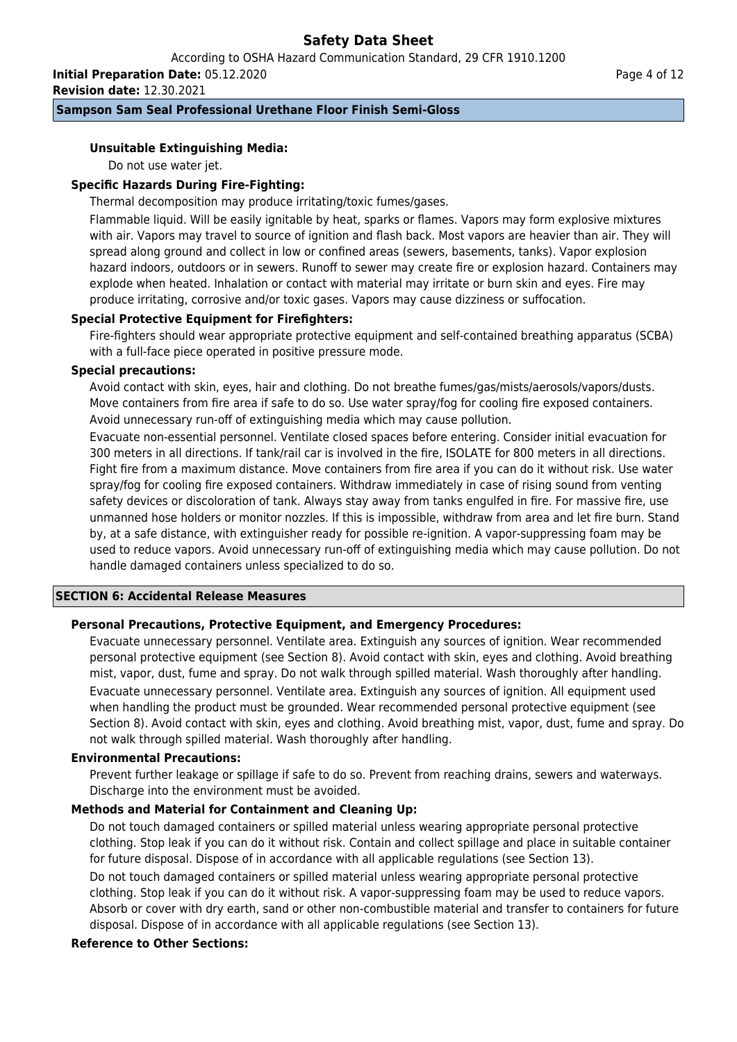According to OSHA Hazard Communication Standard, 29 CFR 1910.1200

**Initial Preparation Date:** 05.12.2020 **Revision date:** 12.30.2021

## **Sampson Sam Seal Professional Urethane Floor Finish Semi-Gloss**

## **Unsuitable Extinguishing Media:**

Do not use water jet.

## **Specific Hazards During Fire-Fighting:**

Thermal decomposition may produce irritating/toxic fumes/gases.

Flammable liquid. Will be easily ignitable by heat, sparks or flames. Vapors may form explosive mixtures with air. Vapors may travel to source of ignition and flash back. Most vapors are heavier than air. They will spread along ground and collect in low or confined areas (sewers, basements, tanks). Vapor explosion hazard indoors, outdoors or in sewers. Runoff to sewer may create fire or explosion hazard. Containers may explode when heated. Inhalation or contact with material may irritate or burn skin and eyes. Fire may produce irritating, corrosive and/or toxic gases. Vapors may cause dizziness or suffocation.

### **Special Protective Equipment for Firefighters:**

Fire-fighters should wear appropriate protective equipment and self-contained breathing apparatus (SCBA) with a full-face piece operated in positive pressure mode.

### **Special precautions:**

Avoid contact with skin, eyes, hair and clothing. Do not breathe fumes/gas/mists/aerosols/vapors/dusts. Move containers from fire area if safe to do so. Use water spray/fog for cooling fire exposed containers. Avoid unnecessary run-off of extinguishing media which may cause pollution.

Evacuate non-essential personnel. Ventilate closed spaces before entering. Consider initial evacuation for 300 meters in all directions. If tank/rail car is involved in the fire, ISOLATE for 800 meters in all directions. Fight fire from a maximum distance. Move containers from fire area if you can do it without risk. Use water spray/fog for cooling fire exposed containers. Withdraw immediately in case of rising sound from venting safety devices or discoloration of tank. Always stay away from tanks engulfed in fire. For massive fire, use unmanned hose holders or monitor nozzles. If this is impossible, withdraw from area and let fire burn. Stand by, at a safe distance, with extinguisher ready for possible re-ignition. A vapor-suppressing foam may be used to reduce vapors. Avoid unnecessary run-off of extinguishing media which may cause pollution. Do not handle damaged containers unless specialized to do so.

#### **SECTION 6: Accidental Release Measures**

## **Personal Precautions, Protective Equipment, and Emergency Procedures:**

Evacuate unnecessary personnel. Ventilate area. Extinguish any sources of ignition. Wear recommended personal protective equipment (see Section 8). Avoid contact with skin, eyes and clothing. Avoid breathing mist, vapor, dust, fume and spray. Do not walk through spilled material. Wash thoroughly after handling. Evacuate unnecessary personnel. Ventilate area. Extinguish any sources of ignition. All equipment used when handling the product must be grounded. Wear recommended personal protective equipment (see Section 8). Avoid contact with skin, eyes and clothing. Avoid breathing mist, vapor, dust, fume and spray. Do not walk through spilled material. Wash thoroughly after handling.

#### **Environmental Precautions:**

Prevent further leakage or spillage if safe to do so. Prevent from reaching drains, sewers and waterways. Discharge into the environment must be avoided.

## **Methods and Material for Containment and Cleaning Up:**

Do not touch damaged containers or spilled material unless wearing appropriate personal protective clothing. Stop leak if you can do it without risk. Contain and collect spillage and place in suitable container for future disposal. Dispose of in accordance with all applicable regulations (see Section 13).

Do not touch damaged containers or spilled material unless wearing appropriate personal protective clothing. Stop leak if you can do it without risk. A vapor-suppressing foam may be used to reduce vapors. Absorb or cover with dry earth, sand or other non-combustible material and transfer to containers for future disposal. Dispose of in accordance with all applicable regulations (see Section 13).

## **Reference to Other Sections:**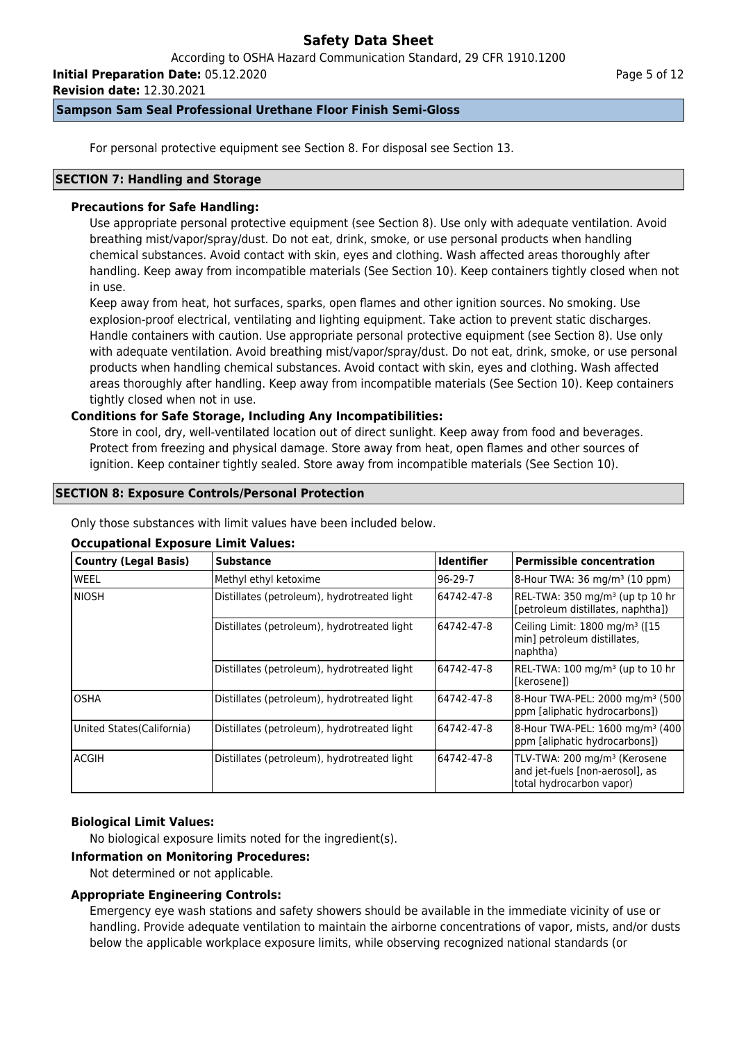According to OSHA Hazard Communication Standard, 29 CFR 1910.1200

**Initial Preparation Date:** 05.12.2020

**Revision date:** 12.30.2021

## **Sampson Sam Seal Professional Urethane Floor Finish Semi-Gloss**

For personal protective equipment see Section 8. For disposal see Section 13.

## **SECTION 7: Handling and Storage**

## **Precautions for Safe Handling:**

Use appropriate personal protective equipment (see Section 8). Use only with adequate ventilation. Avoid breathing mist/vapor/spray/dust. Do not eat, drink, smoke, or use personal products when handling chemical substances. Avoid contact with skin, eyes and clothing. Wash affected areas thoroughly after handling. Keep away from incompatible materials (See Section 10). Keep containers tightly closed when not in use.

Keep away from heat, hot surfaces, sparks, open flames and other ignition sources. No smoking. Use explosion-proof electrical, ventilating and lighting equipment. Take action to prevent static discharges. Handle containers with caution. Use appropriate personal protective equipment (see Section 8). Use only with adequate ventilation. Avoid breathing mist/vapor/spray/dust. Do not eat, drink, smoke, or use personal products when handling chemical substances. Avoid contact with skin, eyes and clothing. Wash affected areas thoroughly after handling. Keep away from incompatible materials (See Section 10). Keep containers tightly closed when not in use.

## **Conditions for Safe Storage, Including Any Incompatibilities:**

Store in cool, dry, well-ventilated location out of direct sunlight. Keep away from food and beverages. Protect from freezing and physical damage. Store away from heat, open flames and other sources of ignition. Keep container tightly sealed. Store away from incompatible materials (See Section 10).

## **SECTION 8: Exposure Controls/Personal Protection**

Only those substances with limit values have been included below.

## **Occupational Exposure Limit Values:**

| Country (Legal Basis)      | <b>Substance</b>                            | <b>Identifier</b> | <b>Permissible concentration</b>                                                                        |
|----------------------------|---------------------------------------------|-------------------|---------------------------------------------------------------------------------------------------------|
| lweel                      | Methyl ethyl ketoxime                       | $96-29-7$         | 8-Hour TWA: 36 mg/m <sup>3</sup> (10 ppm)                                                               |
| Iniosh                     | Distillates (petroleum), hydrotreated light | 64742-47-8        | REL-TWA: 350 mg/m <sup>3</sup> (up tp 10 hr<br>[petroleum distillates, naphtha])                        |
|                            | Distillates (petroleum), hydrotreated light | 64742-47-8        | Ceiling Limit: 1800 mg/m <sup>3</sup> ([15<br>min] petroleum distillates,<br>naphtha)                   |
|                            | Distillates (petroleum), hydrotreated light | 64742-47-8        | REL-TWA: 100 mg/m <sup>3</sup> (up to 10 hr<br>l[kerosene])                                             |
| IOSHA                      | Distillates (petroleum), hydrotreated light | 64742-47-8        | 8-Hour TWA-PEL: 2000 mg/m <sup>3</sup> (500)<br>ppm [aliphatic hydrocarbons])                           |
| United States (California) | Distillates (petroleum), hydrotreated light | 64742-47-8        | 8-Hour TWA-PEL: 1600 mg/m <sup>3</sup> (400<br>ppm [aliphatic hydrocarbons])                            |
| lacgih                     | Distillates (petroleum), hydrotreated light | 64742-47-8        | TLV-TWA: 200 mg/m <sup>3</sup> (Kerosene<br>and jet-fuels [non-aerosol], as<br>total hydrocarbon vapor) |

## **Biological Limit Values:**

No biological exposure limits noted for the ingredient(s).

### **Information on Monitoring Procedures:**

Not determined or not applicable.

## **Appropriate Engineering Controls:**

Emergency eye wash stations and safety showers should be available in the immediate vicinity of use or handling. Provide adequate ventilation to maintain the airborne concentrations of vapor, mists, and/or dusts below the applicable workplace exposure limits, while observing recognized national standards (or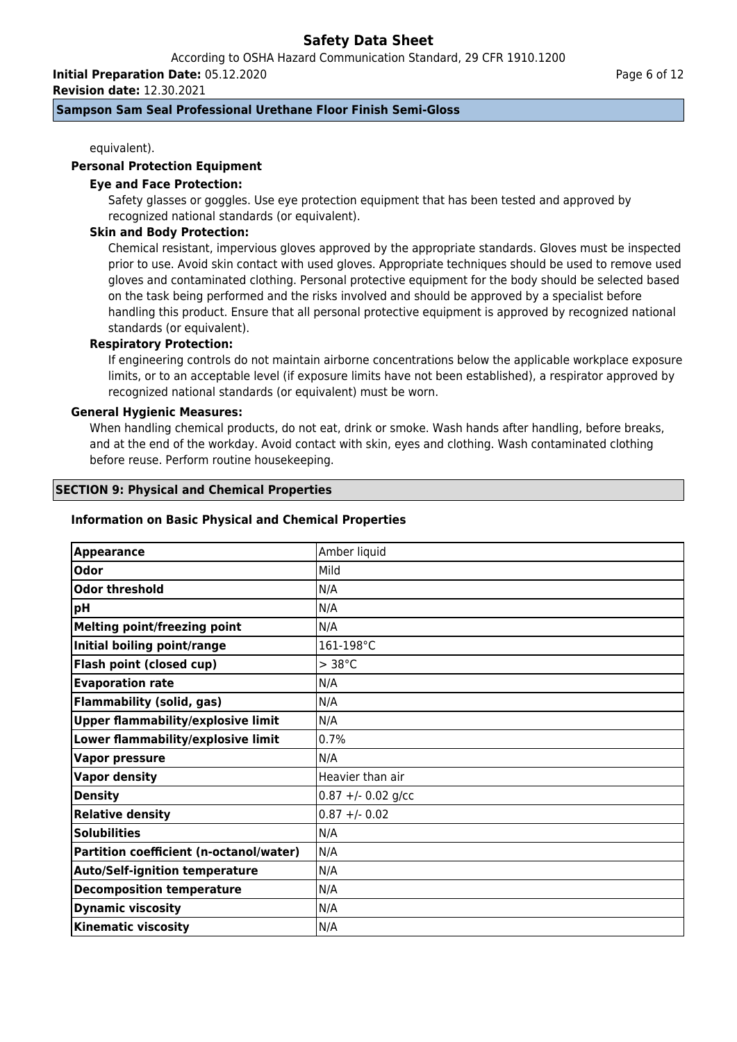According to OSHA Hazard Communication Standard, 29 CFR 1910.1200

**Initial Preparation Date:** 05.12.2020

**Revision date:** 12.30.2021

## **Sampson Sam Seal Professional Urethane Floor Finish Semi-Gloss**

equivalent).

### **Personal Protection Equipment**

### **Eye and Face Protection:**

Safety glasses or goggles. Use eye protection equipment that has been tested and approved by recognized national standards (or equivalent).

### **Skin and Body Protection:**

Chemical resistant, impervious gloves approved by the appropriate standards. Gloves must be inspected prior to use. Avoid skin contact with used gloves. Appropriate techniques should be used to remove used gloves and contaminated clothing. Personal protective equipment for the body should be selected based on the task being performed and the risks involved and should be approved by a specialist before handling this product. Ensure that all personal protective equipment is approved by recognized national standards (or equivalent).

## **Respiratory Protection:**

If engineering controls do not maintain airborne concentrations below the applicable workplace exposure limits, or to an acceptable level (if exposure limits have not been established), a respirator approved by recognized national standards (or equivalent) must be worn.

### **General Hygienic Measures:**

When handling chemical products, do not eat, drink or smoke. Wash hands after handling, before breaks, and at the end of the workday. Avoid contact with skin, eyes and clothing. Wash contaminated clothing before reuse. Perform routine housekeeping.

#### **SECTION 9: Physical and Chemical Properties**

#### **Information on Basic Physical and Chemical Properties**

| <b>Appearance</b>                         | Amber liquid        |
|-------------------------------------------|---------------------|
| Odor                                      | <b>Mild</b>         |
| <b>Odor threshold</b>                     | N/A                 |
| рH                                        | N/A                 |
| <b>Melting point/freezing point</b>       | N/A                 |
| Initial boiling point/range               | 161-198°C           |
| Flash point (closed cup)                  | $>$ 38 $^{\circ}$ C |
| <b>Evaporation rate</b>                   | N/A                 |
| <b>Flammability (solid, gas)</b>          | N/A                 |
| <b>Upper flammability/explosive limit</b> | N/A                 |
| Lower flammability/explosive limit        | 0.7%                |
| <b>Vapor pressure</b>                     | N/A                 |
| <b>Vapor density</b>                      | Heavier than air    |
| <b>Density</b>                            | $0.87 + -0.02$ g/cc |
| <b>Relative density</b>                   | $0.87 + - 0.02$     |
| <b>Solubilities</b>                       | N/A                 |
| Partition coefficient (n-octanol/water)   | N/A                 |
| <b>Auto/Self-ignition temperature</b>     | N/A                 |
| <b>Decomposition temperature</b>          | N/A                 |
| <b>Dynamic viscosity</b>                  | N/A                 |
| <b>Kinematic viscosity</b>                | N/A                 |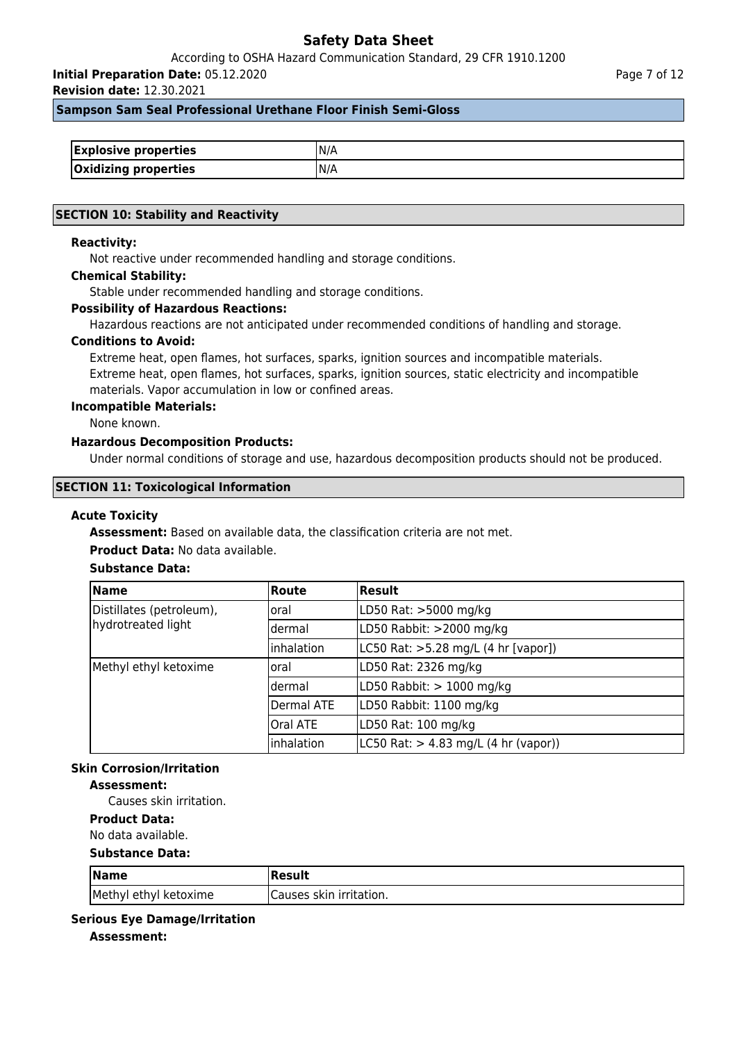According to OSHA Hazard Communication Standard, 29 CFR 1910.1200

**Initial Preparation Date:** 05.12.2020

**Revision date:** 12.30.2021

### **Sampson Sam Seal Professional Urethane Floor Finish Semi-Gloss**

| <b>Explosive properties</b> | IN/A |
|-----------------------------|------|
| <b>Oxidizing properties</b> | IN/A |

#### **SECTION 10: Stability and Reactivity**

### **Reactivity:**

Not reactive under recommended handling and storage conditions.

#### **Chemical Stability:**

Stable under recommended handling and storage conditions.

#### **Possibility of Hazardous Reactions:**

Hazardous reactions are not anticipated under recommended conditions of handling and storage.

#### **Conditions to Avoid:**

Extreme heat, open flames, hot surfaces, sparks, ignition sources and incompatible materials. Extreme heat, open flames, hot surfaces, sparks, ignition sources, static electricity and incompatible materials. Vapor accumulation in low or confined areas.

#### **Incompatible Materials:**

None known.

## **Hazardous Decomposition Products:**

Under normal conditions of storage and use, hazardous decomposition products should not be produced.

#### **SECTION 11: Toxicological Information**

#### **Acute Toxicity**

**Assessment:** Based on available data, the classification criteria are not met.

### **Product Data:** No data available.

## **Substance Data:**

| <b>Name</b>                                    | <b>Route</b>    | Result                                                   |
|------------------------------------------------|-----------------|----------------------------------------------------------|
| Distillates (petroleum),<br>hydrotreated light | loral           | LD50 Rat: >5000 mg/kg                                    |
|                                                | ldermal         | LD50 Rabbit: >2000 mg/kg                                 |
|                                                | inhalation      | LC50 Rat: >5.28 mg/L (4 hr [vapor])                      |
| Methyl ethyl ketoxime                          | loral           | LD50 Rat: 2326 mg/kg                                     |
|                                                | ldermal         | LD50 Rabbit: $> 1000$ mg/kg                              |
|                                                | Dermal ATE      | LD50 Rabbit: 1100 mg/kg                                  |
|                                                | <b>Oral ATE</b> | LD50 Rat: 100 mg/kg                                      |
|                                                | inhalation      | $ L C50 \text{ Rat:} > 4.83 \text{ mg/L}$ (4 hr (vapor)) |

## **Skin Corrosion/Irritation**

## **Assessment:**

Causes skin irritation.

## **Product Data:**

No data available.

#### **Substance Data:**

| $\sqrt{\mathsf{Name}}$ | Result                   |
|------------------------|--------------------------|
| Methyl ethyl ketoxime  | ICauses skin irritation. |

#### **Serious Eye Damage/Irritation**

**Assessment:**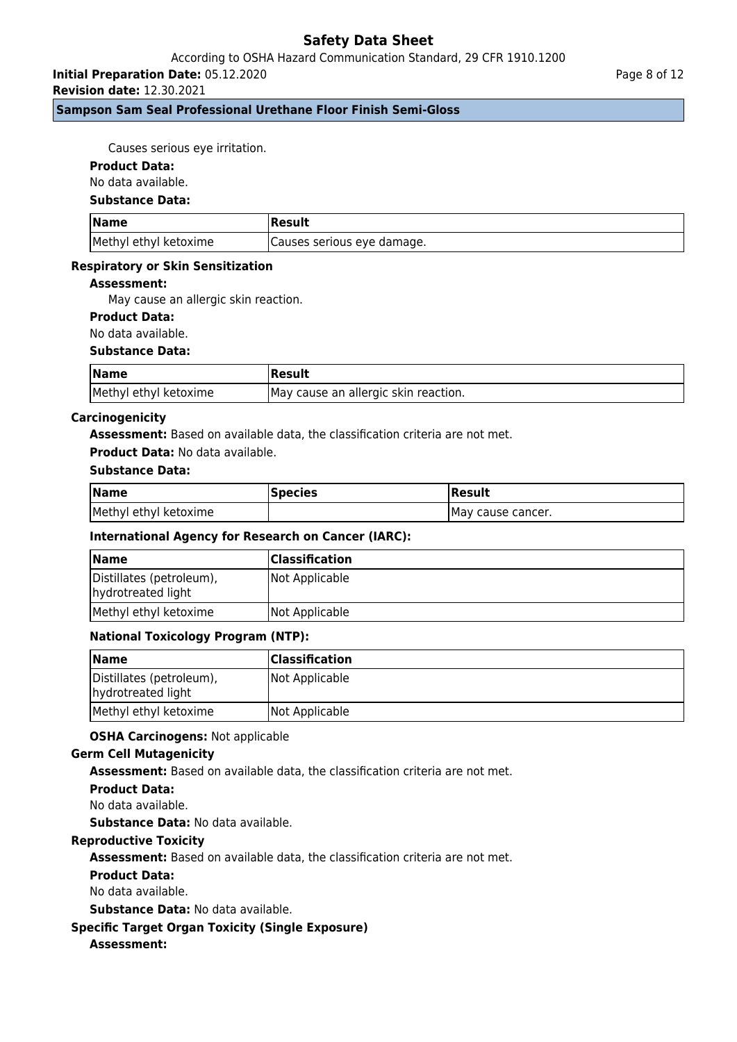## According to OSHA Hazard Communication Standard, 29 CFR 1910.1200

**Initial Preparation Date:** 05.12.2020

**Revision date:** 12.30.2021

## **Sampson Sam Seal Professional Urethane Floor Finish Semi-Gloss**

Causes serious eye irritation.

#### **Product Data:**

No data available.

#### **Substance Data:**

| <b>Name</b>           | Result                      |
|-----------------------|-----------------------------|
| Methyl ethyl ketoxime | (Causes serious eye damage. |

#### **Respiratory or Skin Sensitization**

### **Assessment:**

May cause an allergic skin reaction.

### **Product Data:**

No data available.

#### **Substance Data:**

| <b>Name</b>           | Result                               |
|-----------------------|--------------------------------------|
| Methyl ethyl ketoxime | May cause an allergic skin reaction. |

### **Carcinogenicity**

**Assessment:** Based on available data, the classification criteria are not met.

#### **Product Data:** No data available.

## **Substance Data:**

| <b>Name</b>           | <b> Species</b> | 'Result            |
|-----------------------|-----------------|--------------------|
| Methyl ethyl ketoxime |                 | IMay cause cancer. |

#### **International Agency for Research on Cancer (IARC):**

| <b>Name</b>                                    | <b>Classification</b> |
|------------------------------------------------|-----------------------|
| Distillates (petroleum),<br>hydrotreated light | Not Applicable        |
| Methyl ethyl ketoxime                          | Not Applicable        |

#### **National Toxicology Program (NTP):**

| <b>Name</b>                                    | <b>Classification</b> |
|------------------------------------------------|-----------------------|
| Distillates (petroleum),<br>hydrotreated light | Not Applicable        |
| Methyl ethyl ketoxime                          | Not Applicable        |

#### **OSHA Carcinogens:** Not applicable

#### **Germ Cell Mutagenicity**

**Assessment:** Based on available data, the classification criteria are not met.

#### **Product Data:**

No data available.

**Substance Data:** No data available.

## **Reproductive Toxicity**

**Assessment:** Based on available data, the classification criteria are not met.

#### **Product Data:**

No data available.

**Substance Data:** No data available.

## **Specific Target Organ Toxicity (Single Exposure)**

## **Assessment:**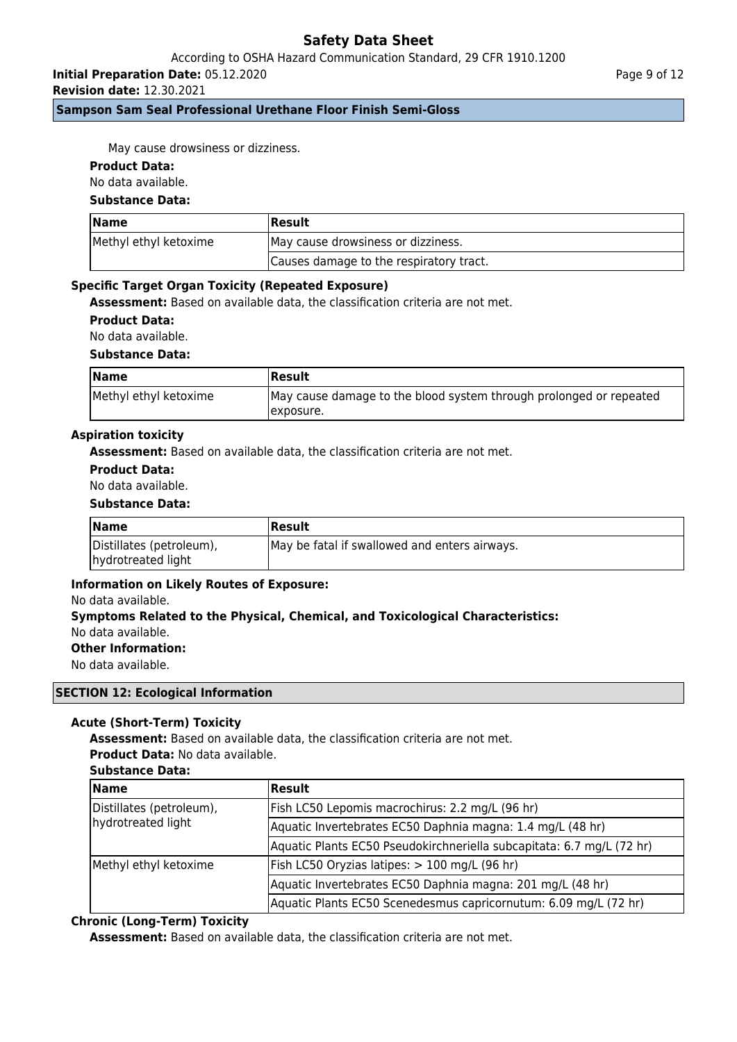## According to OSHA Hazard Communication Standard, 29 CFR 1910.1200

**Initial Preparation Date:** 05.12.2020

**Revision date:** 12.30.2021

**Sampson Sam Seal Professional Urethane Floor Finish Semi-Gloss**

May cause drowsiness or dizziness.

#### **Product Data:**

No data available.

## **Substance Data:**

| <b>Name</b>           | <b> Result</b>                          |
|-----------------------|-----------------------------------------|
| Methyl ethyl ketoxime | May cause drowsiness or dizziness.      |
|                       | Causes damage to the respiratory tract. |

### **Specific Target Organ Toxicity (Repeated Exposure)**

**Assessment:** Based on available data, the classification criteria are not met.

**Product Data:**

No data available.

#### **Substance Data:**

| <b>Name</b>           | Result                                                                           |
|-----------------------|----------------------------------------------------------------------------------|
| Methyl ethyl ketoxime | May cause damage to the blood system through prolonged or repeated<br>Jexposure. |

### **Aspiration toxicity**

**Assessment:** Based on available data, the classification criteria are not met.

## **Product Data:**

No data available.

#### **Substance Data:**

| <b>Name</b>                                    | <b> Result</b>                                |
|------------------------------------------------|-----------------------------------------------|
| Distillates (petroleum),<br>hydrotreated light | May be fatal if swallowed and enters airways. |

#### **Information on Likely Routes of Exposure:**

#### No data available.

## **Symptoms Related to the Physical, Chemical, and Toxicological Characteristics:** No data available.

**Other Information:**

No data available.

#### **SECTION 12: Ecological Information**

## **Acute (Short-Term) Toxicity**

**Assessment:** Based on available data, the classification criteria are not met. **Product Data:** No data available.

#### **Substance Data:**

| <b>Name</b>                                    | <b>Result</b>                                                         |
|------------------------------------------------|-----------------------------------------------------------------------|
| Distillates (petroleum),<br>hydrotreated light | Fish LC50 Lepomis macrochirus: 2.2 mg/L (96 hr)                       |
|                                                | Aquatic Invertebrates EC50 Daphnia magna: 1.4 mg/L (48 hr)            |
|                                                | Aquatic Plants EC50 Pseudokirchneriella subcapitata: 6.7 mg/L (72 hr) |
| Methyl ethyl ketoxime                          | Fish LC50 Oryzias latipes: > 100 mg/L (96 hr)                         |
|                                                | Aquatic Invertebrates EC50 Daphnia magna: 201 mg/L (48 hr)            |
|                                                | Aquatic Plants EC50 Scenedesmus capricornutum: 6.09 mg/L (72 hr)      |

## **Chronic (Long-Term) Toxicity**

**Assessment:** Based on available data, the classification criteria are not met.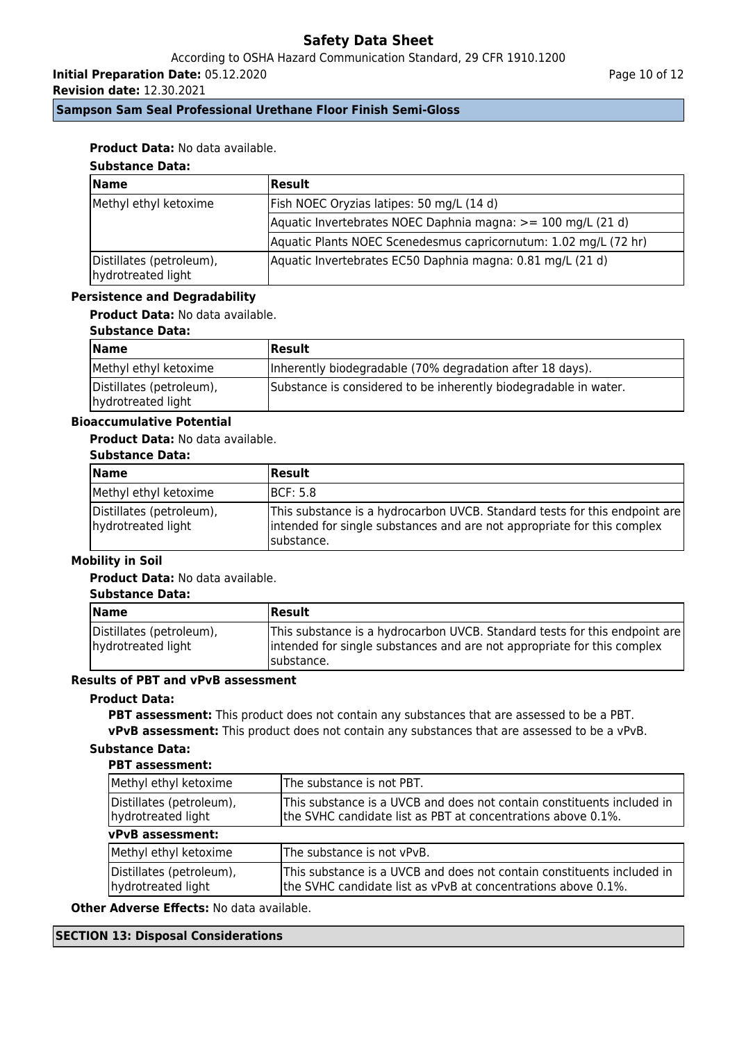According to OSHA Hazard Communication Standard, 29 CFR 1910.1200

**Initial Preparation Date:** 05.12.2020

**Revision date:** 12.30.2021

Page 10 of 12

**Sampson Sam Seal Professional Urethane Floor Finish Semi-Gloss**

## **Product Data:** No data available.

## **Substance Data:**

| <b>Name</b>                                    | Result                                                           |
|------------------------------------------------|------------------------------------------------------------------|
| Methyl ethyl ketoxime                          | [Fish NOEC Oryzias latipes: 50 mg/L (14 d)                       |
|                                                | Aquatic Invertebrates NOEC Daphnia magna: >= 100 mg/L (21 d)     |
|                                                | Aquatic Plants NOEC Scenedesmus capricornutum: 1.02 mg/L (72 hr) |
| Distillates (petroleum),<br>hydrotreated light | Aquatic Invertebrates EC50 Daphnia magna: 0.81 mg/L (21 d)       |

## **Persistence and Degradability**

**Product Data:** No data available.

### **Substance Data:**

| <b>Name</b>                                    | Result                                                           |
|------------------------------------------------|------------------------------------------------------------------|
| Methyl ethyl ketoxime                          | Inherently biodegradable (70% degradation after 18 days).        |
| Distillates (petroleum),<br>hydrotreated light | Substance is considered to be inherently biodegradable in water. |

## **Bioaccumulative Potential**

## **Product Data:** No data available.

### **Substance Data:**

| Name                                           | <b>Result</b>                                                                                                                                                        |
|------------------------------------------------|----------------------------------------------------------------------------------------------------------------------------------------------------------------------|
| Methyl ethyl ketoxime                          | IBCF: 5.8                                                                                                                                                            |
| Distillates (petroleum),<br>hydrotreated light | This substance is a hydrocarbon UVCB. Standard tests for this endpoint are<br>intended for single substances and are not appropriate for this complex<br>Isubstance. |

## **Mobility in Soil**

**Product Data:** No data available.

#### **Substance Data:**

| Name                                           | Result                                                                                                                                                               |
|------------------------------------------------|----------------------------------------------------------------------------------------------------------------------------------------------------------------------|
| Distillates (petroleum),<br>hydrotreated light | This substance is a hydrocarbon UVCB. Standard tests for this endpoint are<br>intended for single substances and are not appropriate for this complex<br>Isubstance. |

## **Results of PBT and vPvB assessment**

## **Product Data:**

**PBT assessment:** This product does not contain any substances that are assessed to be a PBT. **vPvB assessment:** This product does not contain any substances that are assessed to be a vPvB.

## **Substance Data:**

## **PBT assessment:**

| Methyl ethyl ketoxime                          | The substance is not PBT.                                                                                                               |  |  |
|------------------------------------------------|-----------------------------------------------------------------------------------------------------------------------------------------|--|--|
| Distillates (petroleum),<br>hydrotreated light | This substance is a UVCB and does not contain constituents included in<br>the SVHC candidate list as PBT at concentrations above 0.1%.  |  |  |
| vPvB assessment:                               |                                                                                                                                         |  |  |
| Methyl ethyl ketoxime                          | The substance is not vPvB.                                                                                                              |  |  |
| Distillates (petroleum),<br>hydrotreated light | This substance is a UVCB and does not contain constituents included in<br>the SVHC candidate list as vPvB at concentrations above 0.1%. |  |  |

**Other Adverse Effects:** No data available.

## **SECTION 13: Disposal Considerations**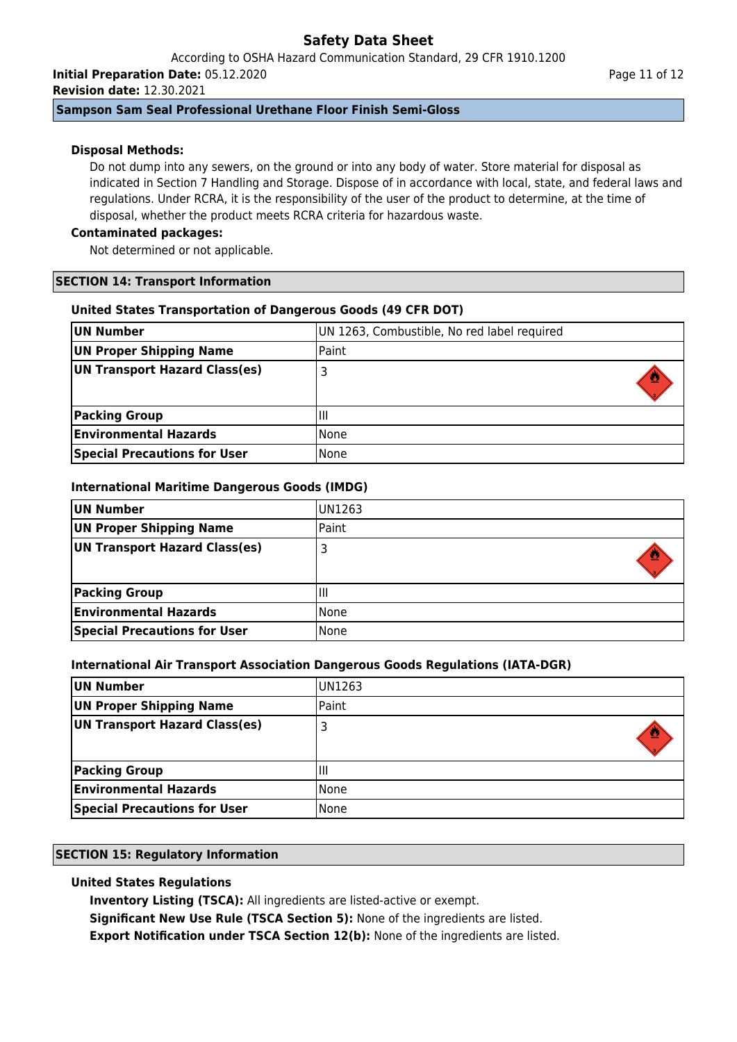According to OSHA Hazard Communication Standard, 29 CFR 1910.1200 **Initial Preparation Date:** 05.12.2020

**Revision date:** 12.30.2021

## **Sampson Sam Seal Professional Urethane Floor Finish Semi-Gloss**

## **Disposal Methods:**

Do not dump into any sewers, on the ground or into any body of water. Store material for disposal as indicated in Section 7 Handling and Storage. Dispose of in accordance with local, state, and federal laws and regulations. Under RCRA, it is the responsibility of the user of the product to determine, at the time of disposal, whether the product meets RCRA criteria for hazardous waste.

## **Contaminated packages:**

Not determined or not applicable.

## **SECTION 14: Transport Information**

## **United States Transportation of Dangerous Goods (49 CFR DOT)**

| UN Number                           | UN 1263, Combustible, No red label required |
|-------------------------------------|---------------------------------------------|
| <b>UN Proper Shipping Name</b>      | Paint                                       |
| UN Transport Hazard Class(es)       |                                             |
| <b>Packing Group</b>                | Ш                                           |
| <b>Environmental Hazards</b>        | l None                                      |
| <b>Special Precautions for User</b> | None                                        |

## **International Maritime Dangerous Goods (IMDG)**

| UN Number                           | UN1263 |
|-------------------------------------|--------|
| UN Proper Shipping Name             | Paint  |
| UN Transport Hazard Class(es)       |        |
|                                     |        |
| <b>Packing Group</b>                | Ш      |
| <b>Environmental Hazards</b>        | l None |
| <b>Special Precautions for User</b> | l None |

## **International Air Transport Association Dangerous Goods Regulations (IATA-DGR)**

| UN Number                           | UN1263 |
|-------------------------------------|--------|
| UN Proper Shipping Name             | Paint  |
| UN Transport Hazard Class(es)       |        |
| <b>Packing Group</b>                | Ш      |
| <b>Environmental Hazards</b>        | None   |
| <b>Special Precautions for User</b> | None   |

## **SECTION 15: Regulatory Information**

## **United States Regulations**

**Inventory Listing (TSCA):** All ingredients are listed-active or exempt.

**Significant New Use Rule (TSCA Section 5):** None of the ingredients are listed.

**Export Notification under TSCA Section 12(b):** None of the ingredients are listed.